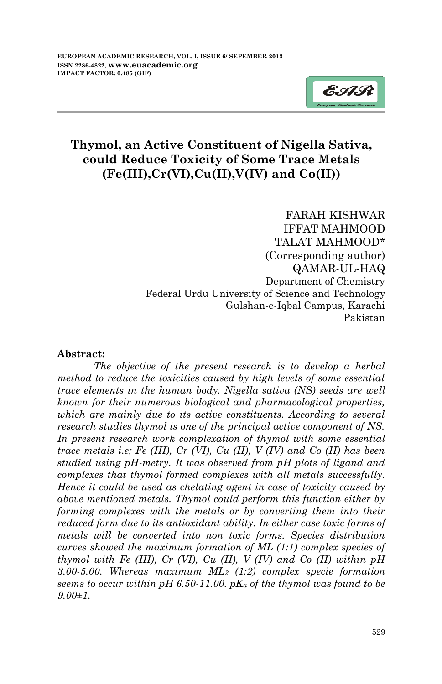

## **Thymol, an Active Constituent of Nigella Sativa, could Reduce Toxicity of Some Trace Metals (Fe(III),Cr(VI),Cu(II),V(IV) and Co(II))**

FARAH KISHWAR IFFAT MAHMOOD TALAT MAHMOOD\* (Corresponding author) QAMAR-UL-HAQ Department of Chemistry Federal Urdu University of Science and Technology Gulshan-e-Iqbal Campus, Karachi Pakistan

#### **Abstract:**

*The objective of the present research is to develop a herbal method to reduce the toxicities caused by high levels of some essential trace elements in the human body. Nigella sativa (NS) seeds are well known for their numerous biological and pharmacological properties, which are mainly due to its active constituents. According to several research studies thymol is one of the principal active component of NS. In present research work complexation of thymol with some essential trace metals i.e; Fe (III), Cr (VI), Cu (II), V (IV) and Co (II) has been studied using pH-metry. It was observed from pH plots of ligand and complexes that thymol formed complexes with all metals successfully. Hence it could be used as chelating agent in case of toxicity caused by above mentioned metals. Thymol could perform this function either by forming complexes with the metals or by converting them into their reduced form due to its antioxidant ability. In either case toxic forms of metals will be converted into non toxic forms. Species distribution curves showed the maximum formation of ML (1:1) complex species of thymol with Fe (III), Cr (VI), Cu (II), V (IV) and Co (II) within pH 3.00-5.00. Whereas maximum ML<sup>2</sup> (1:2) complex specie formation seems to occur within pH 6.50-11.00. pK<sup>a</sup> of the thymol was found to be 9.00±1.*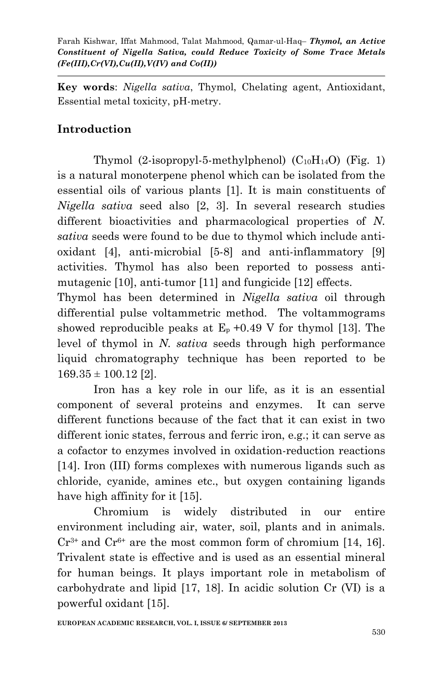**Key words**: *Nigella sativa*, Thymol, Chelating agent, Antioxidant, Essential metal toxicity, pH-metry.

# **Introduction**

Thymol  $(2-isoprovl-5-methylphenol)$   $(C_{10}H_{14}O)$  (Fig. 1) is a natural monoterpene phenol which can be isolated from the essential oils of various plants [1]. It is main constituents of *Nigella sativa* seed also [2, 3]. In several research studies different bioactivities and pharmacological properties of *N. sativa* seeds were found to be due to thymol which include antioxidant [4], anti-microbial [5-8] and anti-inflammatory [9] activities. Thymol has also been reported to possess antimutagenic [10], anti-tumor [11] and fungicide [12] effects.

Thymol has been determined in *Nigella sativa* oil through differential pulse voltammetric method. The voltammograms showed reproducible peaks at  $E_p + 0.49$  V for thymol [13]. The level of thymol in *N. sativa* seeds through high performance liquid chromatography technique has been reported to be  $169.35 \pm 100.12$  [2].

Iron has a key role in our life, as it is an essential component of several proteins and enzymes. It can serve different functions because of the fact that it can exist in two different ionic states, ferrous and ferric iron, e.g.; it can serve as a cofactor to enzymes involved in oxidation-reduction reactions [14]. Iron (III) forms complexes with numerous ligands such as chloride, cyanide, amines etc., but oxygen containing ligands have high affinity for it [15].

Chromium is widely distributed in our entire environment including air, water, soil, plants and in animals.  $Cr^{3+}$  and  $Cr^{6+}$  are the most common form of chromium [14, 16]. Trivalent state is effective and is used as an essential mineral for human beings. It plays important role in metabolism of carbohydrate and lipid [17, 18]. In acidic solution Cr (VI) is a powerful oxidant [15].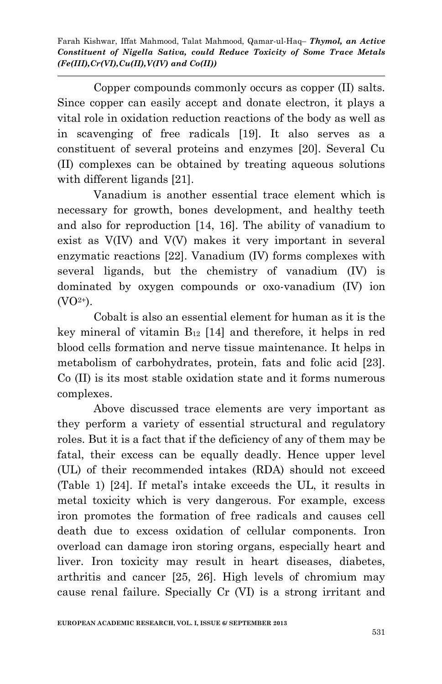Copper compounds commonly occurs as copper (II) salts. Since copper can easily accept and donate electron, it plays a vital role in oxidation reduction reactions of the body as well as in scavenging of free radicals [19]. It also serves as a constituent of several proteins and enzymes [20]. Several Cu (II) complexes can be obtained by treating aqueous solutions with different ligands [21].

Vanadium is another essential trace element which is necessary for growth, bones development, and healthy teeth and also for reproduction [14, 16]. The ability of vanadium to exist as V(IV) and V(V) makes it very important in several enzymatic reactions [22]. Vanadium (IV) forms complexes with several ligands, but the chemistry of vanadium (IV) is dominated by oxygen compounds or oxo-vanadium (IV) ion  $(VO<sup>2+</sup>)$ .

Cobalt is also an essential element for human as it is the key mineral of vitamin  $B_{12}$  [14] and therefore, it helps in red blood cells formation and nerve tissue maintenance. It helps in metabolism of carbohydrates, protein, fats and folic acid [23]. Co (II) is its most stable oxidation state and it forms numerous complexes.

Above discussed trace elements are very important as they perform a variety of essential structural and regulatory roles. But it is a fact that if the deficiency of any of them may be fatal, their excess can be equally deadly. Hence upper level (UL) of their recommended intakes (RDA) should not exceed (Table 1) [24]. If metal's intake exceeds the UL, it results in metal toxicity which is very dangerous. For example, excess iron promotes the formation of free radicals and causes cell death due to excess oxidation of cellular components. Iron overload can damage iron storing organs, especially heart and liver. Iron toxicity may result in heart diseases, diabetes, arthritis and cancer [25, 26]. High levels of chromium may cause renal failure. Specially Cr (VI) is a strong irritant and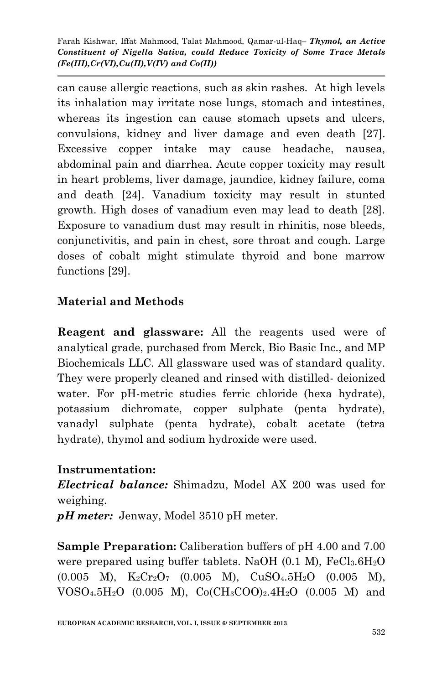can cause allergic reactions, such as skin rashes. At high levels its inhalation may irritate nose lungs, stomach and intestines, whereas its ingestion can cause stomach upsets and ulcers, convulsions, kidney and liver damage and even death [27]. Excessive copper intake may cause headache, nausea, abdominal pain and diarrhea. Acute copper toxicity may result in heart problems, liver damage, jaundice, kidney failure, coma and death [24]. Vanadium toxicity may result in stunted growth. High doses of vanadium even may lead to death [28]. Exposure to vanadium dust may result in rhinitis, nose bleeds, conjunctivitis, and pain in chest, sore throat and cough. Large doses of cobalt might stimulate thyroid and bone marrow functions [29].

# **Material and Methods**

**Reagent and glassware:** All the reagents used were of analytical grade, purchased from Merck, Bio Basic Inc., and MP Biochemicals LLC. All glassware used was of standard quality. They were properly cleaned and rinsed with distilled- deionized water. For pH-metric studies ferric chloride (hexa hydrate), potassium dichromate, copper sulphate (penta hydrate), vanadyl sulphate (penta hydrate), cobalt acetate (tetra hydrate), thymol and sodium hydroxide were used.

## **Instrumentation:**

*Electrical balance:* Shimadzu, Model AX 200 was used for weighing.

*pH meter:* Jenway, Model 3510 pH meter.

**Sample Preparation:** Caliberation buffers of pH 4.00 and 7.00 were prepared using buffer tablets. NaOH  $(0.1 \text{ M})$ , FeCl<sub>3</sub>.6H<sub>2</sub>O  $(0.005 \ M)$ ,  $K_2Cr_2O_7$   $(0.005 \ M)$ ,  $CuSO_4.5H_2O$   $(0.005 \ M)$ ,  $VOSO_4.5H_2O$  (0.005 M),  $Co(CH_3COO)_2.4H_2O$  (0.005 M) and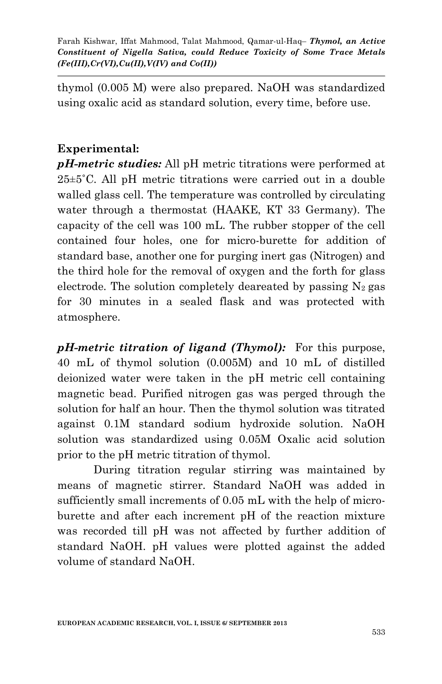thymol (0.005 M) were also prepared. NaOH was standardized using oxalic acid as standard solution, every time, before use.

## **Experimental:**

*pH-metric studies:* All pH metric titrations were performed at 25±5˚C. All pH metric titrations were carried out in a double walled glass cell. The temperature was controlled by circulating water through a thermostat (HAAKE, KT 33 Germany). The capacity of the cell was 100 mL. The rubber stopper of the cell contained four holes, one for micro-burette for addition of standard base, another one for purging inert gas (Nitrogen) and the third hole for the removal of oxygen and the forth for glass electrode. The solution completely deareated by passing  $N_2$  gas for 30 minutes in a sealed flask and was protected with atmosphere.

*pH-metric titration of ligand (Thymol):* For this purpose, 40 mL of thymol solution (0.005M) and 10 mL of distilled deionized water were taken in the pH metric cell containing magnetic bead. Purified nitrogen gas was perged through the solution for half an hour. Then the thymol solution was titrated against 0.1M standard sodium hydroxide solution. NaOH solution was standardized using 0.05M Oxalic acid solution prior to the pH metric titration of thymol.

During titration regular stirring was maintained by means of magnetic stirrer. Standard NaOH was added in sufficiently small increments of 0.05 mL with the help of microburette and after each increment pH of the reaction mixture was recorded till pH was not affected by further addition of standard NaOH. pH values were plotted against the added volume of standard NaOH.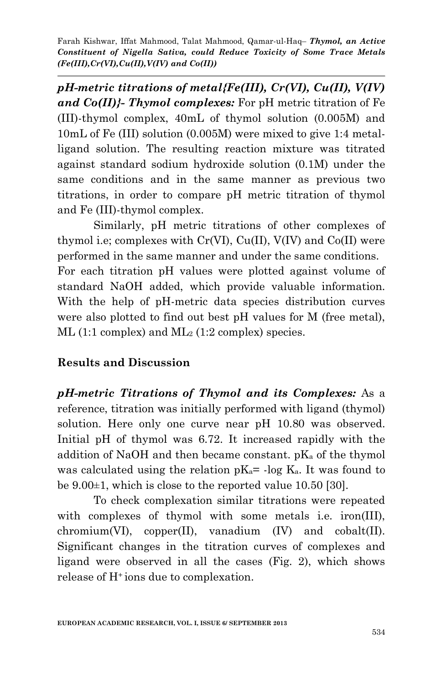*pH-metric titrations of metal{Fe(III), Cr(VI), Cu(II), V(IV) and Co(II)}- Thymol complexes:* For pH metric titration of Fe (III)-thymol complex, 40mL of thymol solution (0.005M) and 10mL of Fe (III) solution (0.005M) were mixed to give 1:4 metalligand solution. The resulting reaction mixture was titrated against standard sodium hydroxide solution (0.1M) under the same conditions and in the same manner as previous two titrations, in order to compare pH metric titration of thymol and Fe (III)-thymol complex.

Similarly, pH metric titrations of other complexes of thymol i.e; complexes with  $Cr(VI)$ ,  $Cu(II)$ ,  $V(IV)$  and  $Co(II)$  were performed in the same manner and under the same conditions. For each titration pH values were plotted against volume of standard NaOH added, which provide valuable information. With the help of pH-metric data species distribution curves were also plotted to find out best pH values for M (free metal),  $ML$  (1:1 complex) and  $ML_2$  (1:2 complex) species.

#### **Results and Discussion**

*pH-metric Titrations of Thymol and its Complexes:* As a reference, titration was initially performed with ligand (thymol) solution. Here only one curve near pH 10.80 was observed. Initial pH of thymol was 6.72. It increased rapidly with the addition of NaOH and then became constant.  $pK_a$  of the thymol was calculated using the relation  $pK_a$ = -log  $K_a$ . It was found to be 9.00±1, which is close to the reported value 10.50 [30].

To check complexation similar titrations were repeated with complexes of thymol with some metals i.e. iron(III),  $chromium(VI)$ ,  $copper(II)$ , vanadium  $(IV)$  and  $cobalt(II)$ . Significant changes in the titration curves of complexes and ligand were observed in all the cases (Fig. 2), which shows release of H+ ions due to complexation.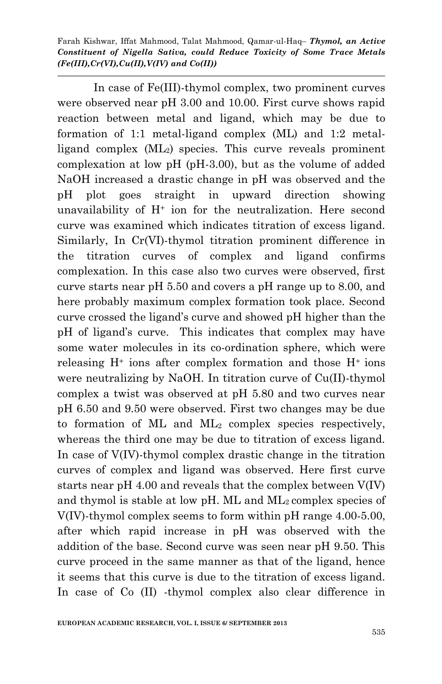In case of Fe(III)-thymol complex, two prominent curves were observed near pH 3.00 and 10.00. First curve shows rapid reaction between metal and ligand, which may be due to formation of 1:1 metal-ligand complex (ML) and 1:2 metalligand complex (ML2) species. This curve reveals prominent complexation at low pH (pH-3.00), but as the volume of added NaOH increased a drastic change in pH was observed and the pH plot goes straight in upward direction showing unavailability of  $H^+$  ion for the neutralization. Here second curve was examined which indicates titration of excess ligand. Similarly, In Cr(VI)-thymol titration prominent difference in the titration curves of complex and ligand confirms complexation. In this case also two curves were observed, first curve starts near pH 5.50 and covers a pH range up to 8.00, and here probably maximum complex formation took place. Second curve crossed the ligand's curve and showed pH higher than the pH of ligand's curve. This indicates that complex may have some water molecules in its co-ordination sphere, which were releasing  $H^+$  ions after complex formation and those  $H^+$  ions were neutralizing by NaOH. In titration curve of Cu(II)-thymol complex a twist was observed at pH 5.80 and two curves near pH 6.50 and 9.50 were observed. First two changes may be due to formation of ML and ML<sup>2</sup> complex species respectively, whereas the third one may be due to titration of excess ligand. In case of V(IV)-thymol complex drastic change in the titration curves of complex and ligand was observed. Here first curve starts near pH 4.00 and reveals that the complex between V(IV) and thymol is stable at low pH. ML and ML2 complex species of V(IV)-thymol complex seems to form within pH range 4.00-5.00, after which rapid increase in pH was observed with the addition of the base. Second curve was seen near pH 9.50. This curve proceed in the same manner as that of the ligand, hence it seems that this curve is due to the titration of excess ligand. In case of Co (II) -thymol complex also clear difference in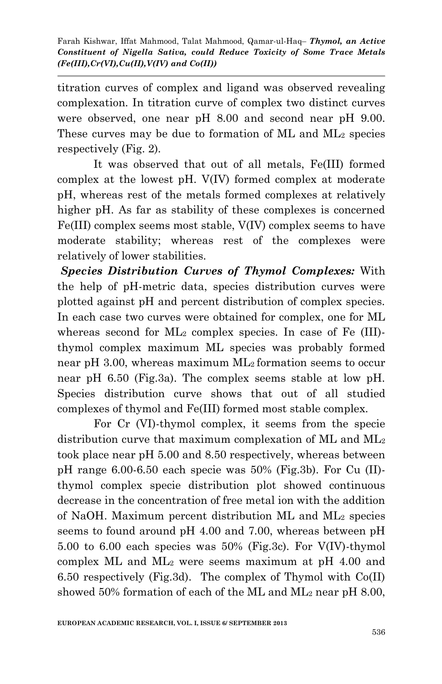titration curves of complex and ligand was observed revealing complexation. In titration curve of complex two distinct curves were observed, one near pH 8.00 and second near pH 9.00. These curves may be due to formation of ML and ML<sup>2</sup> species respectively (Fig. 2).

It was observed that out of all metals, Fe(III) formed complex at the lowest pH. V(IV) formed complex at moderate pH, whereas rest of the metals formed complexes at relatively higher pH. As far as stability of these complexes is concerned Fe(III) complex seems most stable, V(IV) complex seems to have moderate stability; whereas rest of the complexes were relatively of lower stabilities.

*Species Distribution Curves of Thymol Complexes:* With the help of pH-metric data, species distribution curves were plotted against pH and percent distribution of complex species. In each case two curves were obtained for complex, one for ML whereas second for ML<sub>2</sub> complex species. In case of Fe (III)thymol complex maximum ML species was probably formed near pH 3.00, whereas maximum ML2 formation seems to occur near pH 6.50 (Fig.3a). The complex seems stable at low pH. Species distribution curve shows that out of all studied complexes of thymol and Fe(III) formed most stable complex.

For Cr (VI)-thymol complex, it seems from the specie distribution curve that maximum complexation of ML and ML<sup>2</sup> took place near pH 5.00 and 8.50 respectively, whereas between pH range 6.00-6.50 each specie was 50% (Fig.3b). For Cu (II) thymol complex specie distribution plot showed continuous decrease in the concentration of free metal ion with the addition of NaOH. Maximum percent distribution ML and ML<sup>2</sup> species seems to found around pH 4.00 and 7.00, whereas between pH 5.00 to 6.00 each species was 50% (Fig.3c). For V(IV)-thymol complex ML and  $ML_2$  were seems maximum at pH 4.00 and 6.50 respectively (Fig.3d). The complex of Thymol with Co(II) showed 50% formation of each of the ML and  $ML_2$  near pH 8.00,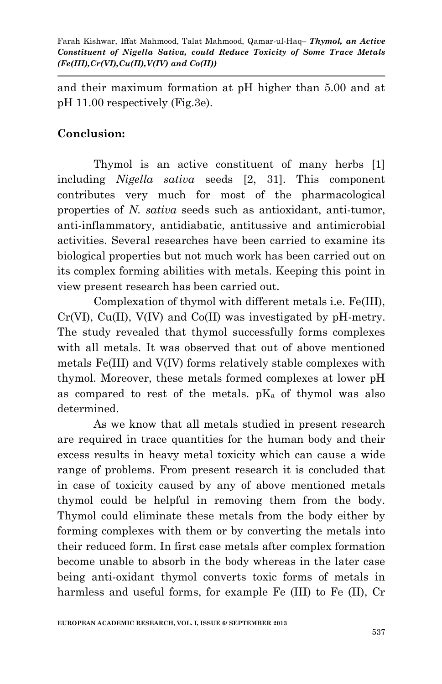and their maximum formation at pH higher than 5.00 and at pH 11.00 respectively (Fig.3e).

### **Conclusion:**

Thymol is an active constituent of many herbs [1] including *Nigella sativa* seeds [2, 31]. This component contributes very much for most of the pharmacological properties of *N. sativa* seeds such as antioxidant, anti-tumor, anti-inflammatory, antidiabatic, antitussive and antimicrobial activities. Several researches have been carried to examine its biological properties but not much work has been carried out on its complex forming abilities with metals. Keeping this point in view present research has been carried out.

Complexation of thymol with different metals i.e. Fe(III),  $Cr(VI)$ ,  $Cu(II)$ ,  $V(IV)$  and  $Co(II)$  was investigated by pH-metry. The study revealed that thymol successfully forms complexes with all metals. It was observed that out of above mentioned metals Fe(III) and V(IV) forms relatively stable complexes with thymol. Moreover, these metals formed complexes at lower pH as compared to rest of the metals.  $pK_a$  of thymol was also determined.

As we know that all metals studied in present research are required in trace quantities for the human body and their excess results in heavy metal toxicity which can cause a wide range of problems. From present research it is concluded that in case of toxicity caused by any of above mentioned metals thymol could be helpful in removing them from the body. Thymol could eliminate these metals from the body either by forming complexes with them or by converting the metals into their reduced form. In first case metals after complex formation become unable to absorb in the body whereas in the later case being anti-oxidant thymol converts toxic forms of metals in harmless and useful forms, for example Fe (III) to Fe (II), Cr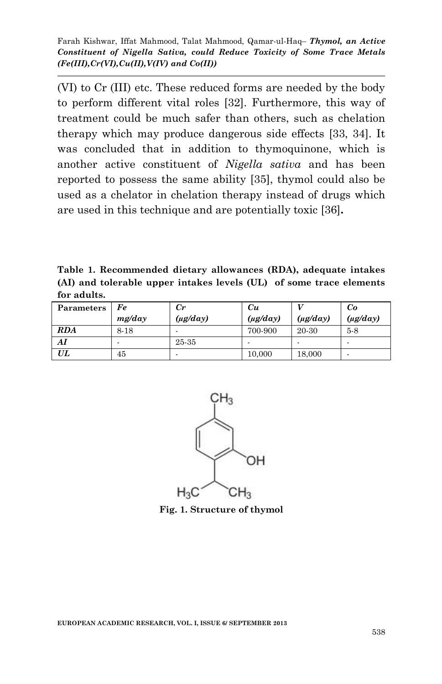(VI) to Cr (III) etc. These reduced forms are needed by the body to perform different vital roles [32]. Furthermore, this way of treatment could be much safer than others, such as chelation therapy which may produce dangerous side effects [33, 34]. It was concluded that in addition to thymoquinone, which is another active constituent of *Nigella sativa* and has been reported to possess the same ability [35], thymol could also be used as a chelator in chelation therapy instead of drugs which are used in this technique and are potentially toxic [36]**.**

**Table 1. Recommended dietary allowances (RDA), adequate intakes (AI) and tolerable upper intakes levels (UL) of some trace elements for adults.**

| Parameters | Fe     | $_{Cr}$       | Cи            |               | Co            |
|------------|--------|---------------|---------------|---------------|---------------|
|            | mg/day | $(\mu g/day)$ | $(\mu g/day)$ | $(\mu g/day)$ | $(\mu g/day)$ |
| <b>RDA</b> | 8-18   | -             | 700-900       | 20-30         | $5-8$         |
| AI         |        | 25-35         |               |               |               |
| UL         | 45     |               | 10,000        | 18,000        |               |



**Fig. 1. Structure of thymol**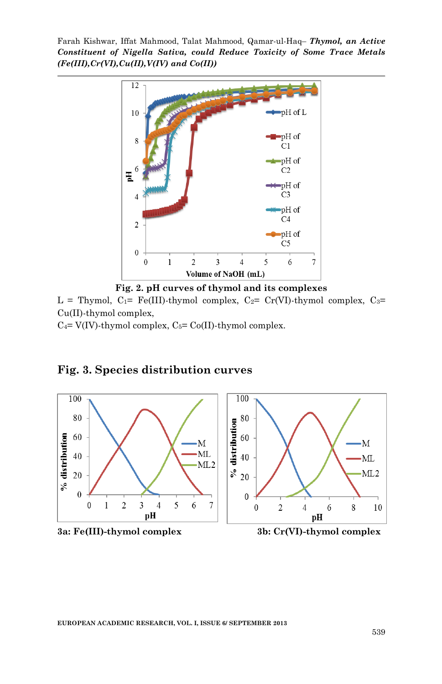

**Fig. 2. pH curves of thymol and its complexes**

L = Thymol,  $C_1$ = Fe(III)-thymol complex,  $C_2$ = Cr(VI)-thymol complex,  $C_3$ = Cu(II)-thymol complex,

 $C_4$ = V(IV)-thymol complex,  $C_5$ = Co(II)-thymol complex.



## **Fig. 3. Species distribution curves**





**EUROPEAN ACADEMIC RESEARCH, VOL. I, ISSUE 6/ SEPTEMBER 2013**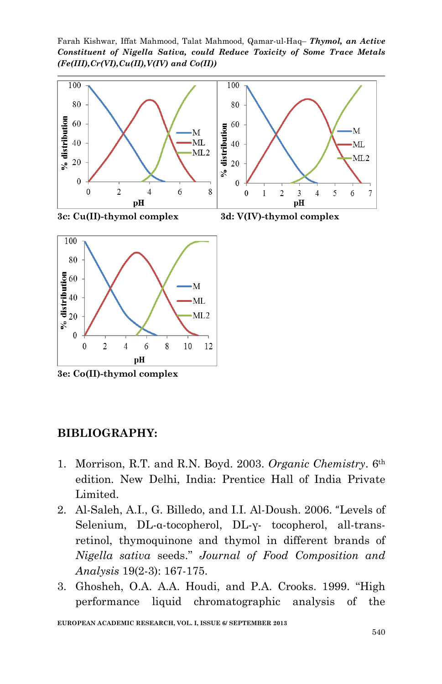Farah Kishwar, Iffat Mahmood, Talat Mahmood, Qamar-ul-Haq– *Thymol, an Active Constituent of Nigella Sativa, could Reduce Toxicity of Some Trace Metals (Fe(III),Cr(VI),Cu(II),V(IV) and Co(II))*





**3e: Co(II)-thymol complex**

#### **BIBLIOGRAPHY:**

- 1. Morrison, R.T. and R.N. Boyd. 2003. *Organic Chemistry*. 6th edition. New Delhi, India: Prentice Hall of India Private Limited.
- 2. Al-Saleh, A.I., G. Billedo, and I.I. Al-Doush. 2006. "Levels of Selenium, DL-α-tocopherol, DL-γ- tocopherol, all-transretinol, thymoquinone and thymol in different brands of *Nigella sativa* seeds." *Journal of Food Composition and Analysis* 19(2-3): 167-175.
- 3. Ghosheh, O.A. A.A. Houdi, and P.A. Crooks. 1999. "High performance liquid chromatographic analysis of the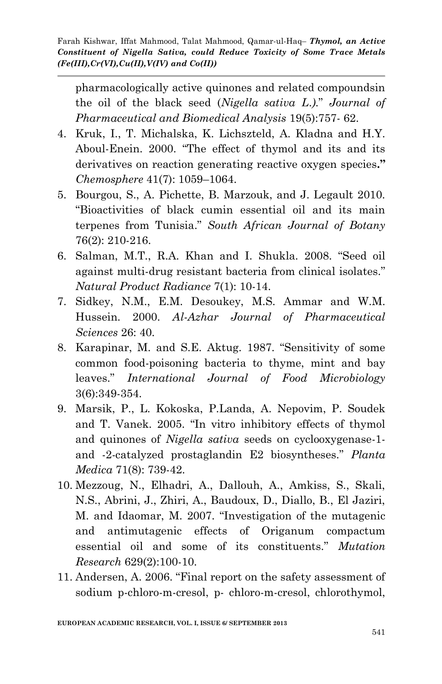pharmacologically active quinones and related compoundsin the oil of the black seed (*Nigella sativa L*.*)*." *Journal of Pharmaceutical and Biomedical Analysis* 19(5):757- 62.

- 4. Kruk, I., T. Michalska, K. Lichszteld, A. Kladna and H.Y. Aboul-Enein. 2000. "The effect of thymol and its and its derivatives on reaction generating reactive oxygen species**."** *Chemosphere* 41(7): 1059–1064.
- 5. Bourgou, S., A. Pichette, B. Marzouk, and J. Legault 2010. "Bioactivities of black cumin essential oil and its main terpenes from Tunisia." *South African Journal of Botany* 76(2): 210-216.
- 6. Salman, M.T., R.A. Khan and I. Shukla. 2008. "Seed oil against multi-drug resistant bacteria from clinical isolates." *Natural Product Radiance* 7(1): 10-14.
- 7. Sidkey, N.M., E.M. Desoukey, M.S. Ammar and W.M. Hussein. 2000. *Al-Azhar Journal of Pharmaceutical Sciences* 26: 40.
- 8. Karapinar, M. and S.E. Aktug. 1987. "Sensitivity of some common food-poisoning bacteria to thyme, mint and bay leaves." *International Journal of Food Microbiology* 3(6):349-354.
- 9. Marsik, P., L. Kokoska, P.Landa, A. Nepovim, P. Soudek and T. Vanek. 2005. "In vitro inhibitory effects of thymol and quinones of *Nigella sativa* seeds on cyclooxygenase-1 and -2-catalyzed prostaglandin E2 biosyntheses." *Planta Medica* 71(8): 739-42.
- 10. Mezzoug, N., Elhadri, A., Dallouh, A., Amkiss, S., Skali, N.S., Abrini, J., Zhiri, A., Baudoux, D., Diallo, B., El Jaziri, M. and Idaomar, M. 2007. "Investigation of the mutagenic and antimutagenic effects of Origanum compactum essential oil and some of its constituents." *Mutation Research* 629(2):100-10.
- 11. [Andersen, A.](http://www.ncbi.nlm.nih.gov/pubmed?term=Andersen%20A%5BAuthor%5D&cauthor=true&cauthor_uid=16835130) 2006. "Final report on the safety assessment of sodium p-chloro-m-cresol, p- chloro-m-cresol, chlorothymol,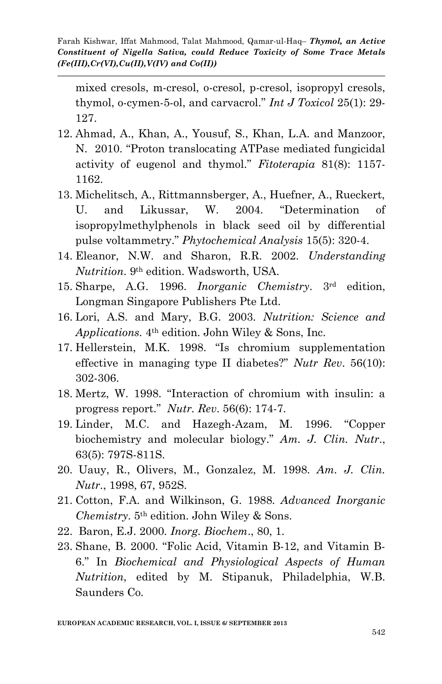mixed cresols, m-cresol, o-cresol, p-cresol, isopropyl cresols, thymol, o-cymen-5-ol, and carvacrol." *Int J Toxicol* 25(1): 29- 127.

- 12. Ahmad, A., Khan, A., Yousuf, S., Khan, L.A. and Manzoor, N. 2010. "Proton translocating ATPase mediated fungicidal activity of eugenol and thymol." *Fitoterapia* 81(8): 1157- 1162.
- 13. Michelitsch, A., Rittmannsberger, A., Huefner, A., Rueckert, U. and Likussar, W. 2004. "Determination of isopropylmethylphenols in black seed oil by differential pulse voltammetry." *Phytochemical Analysis* 15(5): 320-4.
- 14. Eleanor, N.W. and Sharon, R.R. 2002. *Understanding Nutrition*. 9th edition. Wadsworth, USA.
- 15. Sharpe, A.G. 1996. *Inorganic Chemistry*. 3rd edition, Longman Singapore Publishers Pte Ltd.
- 16. Lori, A.S. and Mary, B.G. 2003. *Nutrition: Science and Applications.* 4th edition. John Wiley & Sons, Inc.
- 17. Hellerstein, M.K. 1998. "Is chromium supplementation effective in managing type II diabetes?" *Nutr Rev*. 56(10): 302-306.
- 18. Mertz, W. 1998. "Interaction of chromium with insulin: a progress report." *Nutr. Rev*. 56(6): 174-7.
- 19. Linder, M.C. and Hazegh-Azam, M. 1996. "Copper biochemistry and molecular biology." *Am. J. Clin. Nutr*., 63(5): 797S-811S.
- 20. Uauy, R., Olivers, M., Gonzalez, M. 1998. *Am. J. Clin. Nutr*., 1998, 67, 952S.
- 21. Cotton, F.A. and Wilkinson, G. 1988. *Advanced Inorganic Chemistry*. 5th edition. John Wiley & Sons.
- 22. Baron, E.J. 2000. *Inorg. Biochem*., 80, 1.
- 23. Shane, B. 2000. "Folic Acid, Vitamin B-12, and Vitamin B-6." In *Biochemical and Physiological Aspects of Human Nutrition*, edited by M. Stipanuk, Philadelphia, W.B. Saunders Co.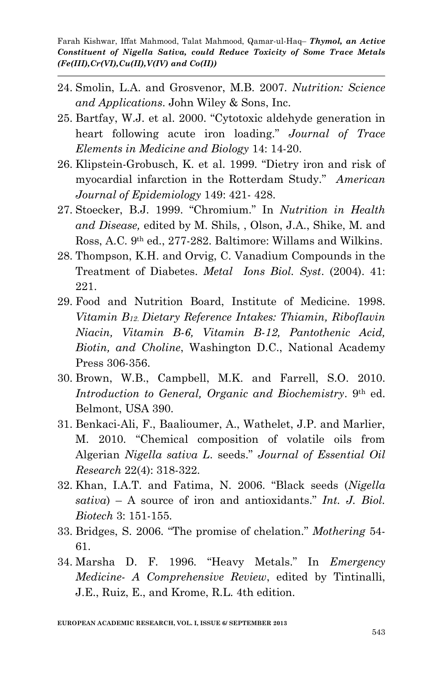- 24. Smolin, L.A. and Grosvenor, M.B. 2007. *Nutrition: Science and Applications*. John Wiley & Sons, Inc.
- 25. Bartfay, W.J. et al. 2000. "Cytotoxic aldehyde generation in heart following acute iron loading." *Journal of Trace Elements in Medicine and Biology* 14: 14-20.
- 26. Klipstein-Grobusch, K. et al. 1999. "Dietry iron and risk of myocardial infarction in the Rotterdam Study." *American Journal of Epidemiology* 149: 421- 428.
- 27. Stoecker, B.J. 1999. "Chromium." In *Nutrition in Health and Disease,* edited by M. Shils, , Olson, J.A., Shike, M. and Ross, A.C. 9th ed., 277-282. Baltimore: Willams and Wilkins.
- 28. Thompson, K.H. and Orvig, C. Vanadium Compounds in the Treatment of Diabetes. *Metal Ions Biol. Syst*. (2004). 41: 221.
- 29. Food and Nutrition Board, Institute of Medicine. 1998. *Vitamin B12*. *Dietary Reference Intakes: Thiamin, Riboflavin Niacin, Vitamin B-6, Vitamin B-12, Pantothenic Acid, Biotin, and Choline*, Washington D.C., National Academy Press 306-356.
- 30. Brown, W.B., Campbell, M.K. and Farrell, S.O. 2010. *Introduction to General, Organic and Biochemistry*. 9th ed. Belmont, USA 390.
- 31. Benkaci-Ali, F., Baalioumer, A., Wathelet, J.P. and Marlier, M. 2010. "Chemical composition of volatile oils from Algerian *Nigella sativa L*. seeds." *Journal of Essential Oil Research* 22(4): 318-322.
- 32. Khan, I.A.T. and Fatima, N. 2006. "Black seeds (*Nigella sativa*) – A source of iron and antioxidants." *Int. J. Biol. Biotech* 3: 151-155.
- 33. Bridges, S. 2006. "The promise of chelation." *Mothering* 54- 61.
- 34. Marsha D. F. 1996. "Heavy Metals." In *Emergency Medicine- A Comprehensive Review*, edited by Tintinalli, J.E., Ruiz, E., and Krome, R.L. 4th edition.